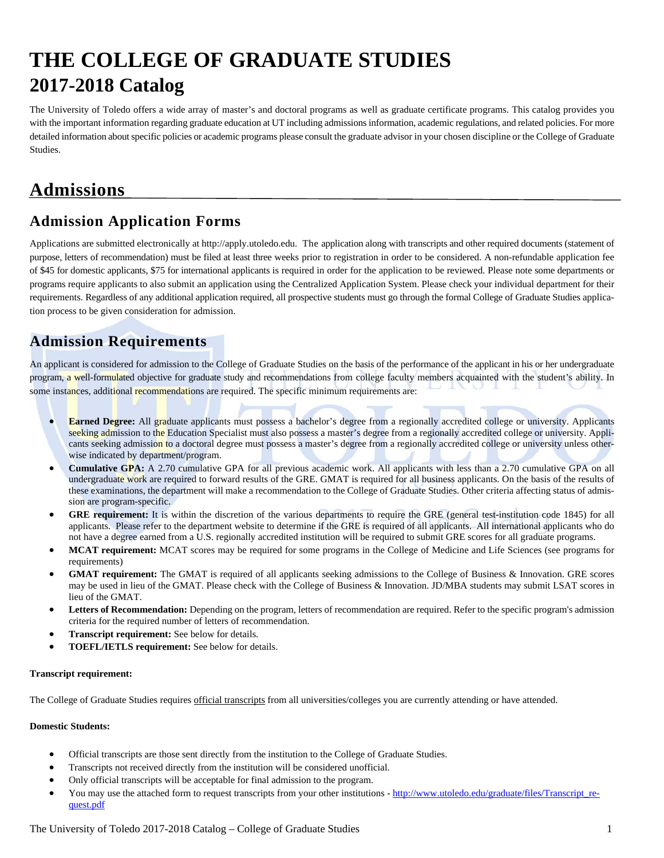# **THE COLLEGE OF GRADUATE STUDIES 2017-2018 Catalog**

The University of Toledo offers a wide array of master's and doctoral programs as well as graduate certificate programs. This catalog provides you with the important information regarding graduate education at UT including admissions information, academic regulations, and related policies. For more detailed information about specific policies or academic programs please consult the graduate advisor in your chosen discipline or the College of Graduate Studies.

# **Admissions**

#### **Admission Application Forms**

Applications are submitted electronically at http://apply.utoledo.edu.The application along with transcripts and other required documents (statement of purpose, letters of recommendation) must be filed at least three weeks prior to registration in order to be considered. A non-refundable application fee of \$45 for domestic applicants, \$75 for international applicants is required in order for the application to be reviewed. Please note some departments or programs require applicants to also submit an application using the Centralized Application System. Please check your individual department for their requirements. Regardless of any additional application required, all prospective students must go through the formal College of Graduate Studies application process to be given consideration for admission.

#### **Admission Requirements**

An applicant is considered for admission to the College of Graduate Studies on the basis of the performance of the applicant in his or her undergraduate program, a well-formulated objective for graduate study and recommendations from college faculty members acquainted with the student's ability. In some instances, additional recommendations are required. The specific minimum requirements are:

- **Earned Degree:** All graduate applicants must possess a bachelor's degree from a regionally accredited college or university. Applicants seeking admission to the Education Specialist must also possess a master's degree from a regionally accredited college or university. Applicants seeking admission to a doctoral degree must possess a master's degree from a regionally accredited college or university unless otherwise indicated by department/program.
- **Cumulative GPA:** A 2.70 cumulative GPA for all previous academic work. All applicants with less than a 2.70 cumulative GPA on all undergraduate work are required to forward results of the GRE. GMAT is required for all business applicants. On the basis of the results of these examinations, the department will make a recommendation to the College of Graduate Studies. Other criteria affecting status of admission are program-specific.
- **GRE requirement:** It is within the discretion of the various departments to require the GRE (general test-institution code 1845) for all applicants. Please refer to the department website to determine if the GRE is required of all applicants. All international applicants who do not have a degree earned from a U.S. regionally accredited institution will be required to submit GRE scores for all graduate programs.
- **MCAT requirement:** MCAT scores may be required for some programs in the College of Medicine and Life Sciences (see programs for requirements)
- **GMAT requirement:** The GMAT is required of all applicants seeking admissions to the College of Business & Innovation. GRE scores may be used in lieu of the GMAT. Please check with the College of Business & Innovation. JD/MBA students may submit LSAT scores in lieu of the GMAT.
- **Letters of Recommendation:** Depending on the program, letters of recommendation are required. Refer to the specific program's admission criteria for the required number of letters of recommendation.
- **Transcript requirement:** See below for details.
- **TOEFL/IETLS requirement:** See below for details.

#### **Transcript requirement:**

The College of Graduate Studies requires official transcripts from all universities/colleges you are currently attending or have attended.

#### **Domestic Students:**

- Official transcripts are those sent directly from the institution to the College of Graduate Studies.
- Transcripts not received directly from the institution will be considered unofficial.
- Only official transcripts will be acceptable for final admission to the program.
- You may use the attached form to request transcripts from your other institutions http://www.utoledo.edu/graduate/files/Transcript\_request.pdf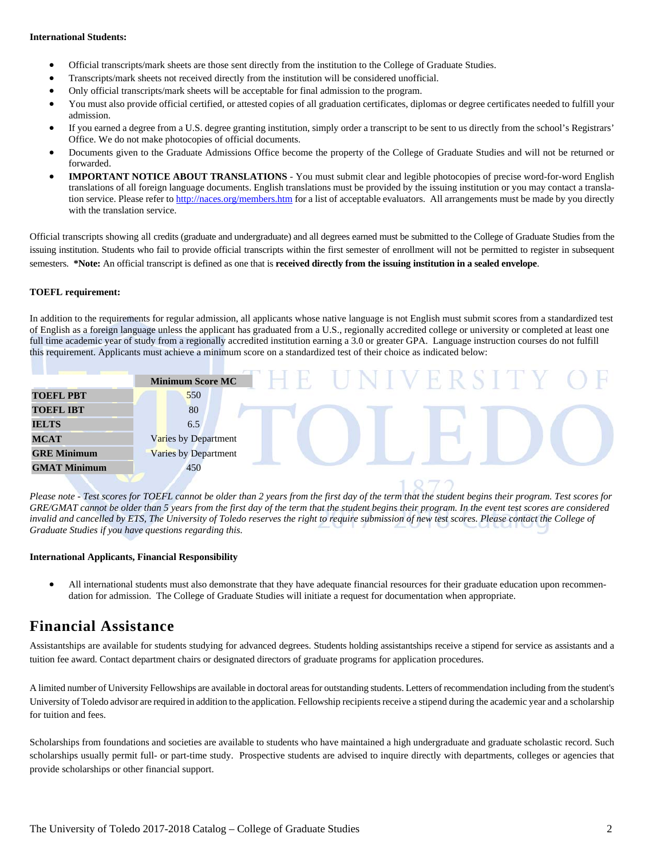#### **International Students:**

- Official transcripts/mark sheets are those sent directly from the institution to the College of Graduate Studies.
- Transcripts/mark sheets not received directly from the institution will be considered unofficial.
- Only official transcripts/mark sheets will be acceptable for final admission to the program.
- You must also provide official certified, or attested copies of all graduation certificates, diplomas or degree certificates needed to fulfill your admission.
- If you earned a degree from a U.S. degree granting institution, simply order a transcript to be sent to us directly from the school's Registrars' Office. We do not make photocopies of official documents.
- Documents given to the Graduate Admissions Office become the property of the College of Graduate Studies and will not be returned or forwarded.
- **IMPORTANT NOTICE ABOUT TRANSLATIONS** You must submit clear and legible photocopies of precise word-for-word English translations of all foreign language documents. English translations must be provided by the issuing institution or you may contact a translation service. Please refer to http://naces.org/members.htm for a list of acceptable evaluators. All arrangements must be made by you directly with the translation service.

Official transcripts showing all credits (graduate and undergraduate) and all degrees earned must be submitted to the College of Graduate Studies from the issuing institution. Students who fail to provide official transcripts within the first semester of enrollment will not be permitted to register in subsequent semesters. **\*Note:** An official transcript is defined as one that is **received directly from the issuing institution in a sealed envelope**.

#### **TOEFL requirement:**

In addition to the requirements for regular admission, all applicants whose native language is not English must submit scores from a standardized test of English as a foreign language unless the applicant has graduated from a U.S., regionally accredited college or university or completed at least one full time academic year of study from a regionally accredited institution earning a 3.0 or greater GPA. Language instruction courses do not fulfill this requirement. Applicants must achieve a minimum score on a standardized test of their choice as indicated below:

|                     | <b>Minimum Score MC</b> |  |  |                                   |  |
|---------------------|-------------------------|--|--|-----------------------------------|--|
| <b>TOEFL PBT</b>    | 550                     |  |  |                                   |  |
| <b>TOEFL IBT</b>    | 80                      |  |  |                                   |  |
| <b>IELTS</b>        | 6.5                     |  |  |                                   |  |
| <b>MCAT</b>         | Varies by Department    |  |  |                                   |  |
| <b>GRE Minimum</b>  | Varies by Department    |  |  |                                   |  |
| <b>GMAT Minimum</b> | 450                     |  |  |                                   |  |
|                     |                         |  |  | the control of the control of the |  |

*Please note - Test scores for TOEFL cannot be older than 2 years from the first day of the term that the student begins their program. Test scores for GRE/GMAT cannot be older than 5 years from the first day of the term that the student begins their program. In the event test scores are considered invalid and cancelled by ETS, The University of Toledo reserves the right to require submission of new test scores. Please contact the College of Graduate Studies if you have questions regarding this.*

#### **International Applicants, Financial Responsibility**

 All international students must also demonstrate that they have adequate financial resources for their graduate education upon recommendation for admission. The College of Graduate Studies will initiate a request for documentation when appropriate.

#### **Financial Assistance**

Assistantships are available for students studying for advanced degrees. Students holding assistantships receive a stipend for service as assistants and a tuition fee award. Contact department chairs or designated directors of graduate programs for application procedures.

A limited number of University Fellowships are available in doctoral areas for outstanding students. Letters of recommendation including from the student's University of Toledo advisor are required in addition to the application. Fellowship recipients receive a stipend during the academic year and a scholarship for tuition and fees.

Scholarships from foundations and societies are available to students who have maintained a high undergraduate and graduate scholastic record. Such scholarships usually permit full- or part-time study. Prospective students are advised to inquire directly with departments, colleges or agencies that provide scholarships or other financial support.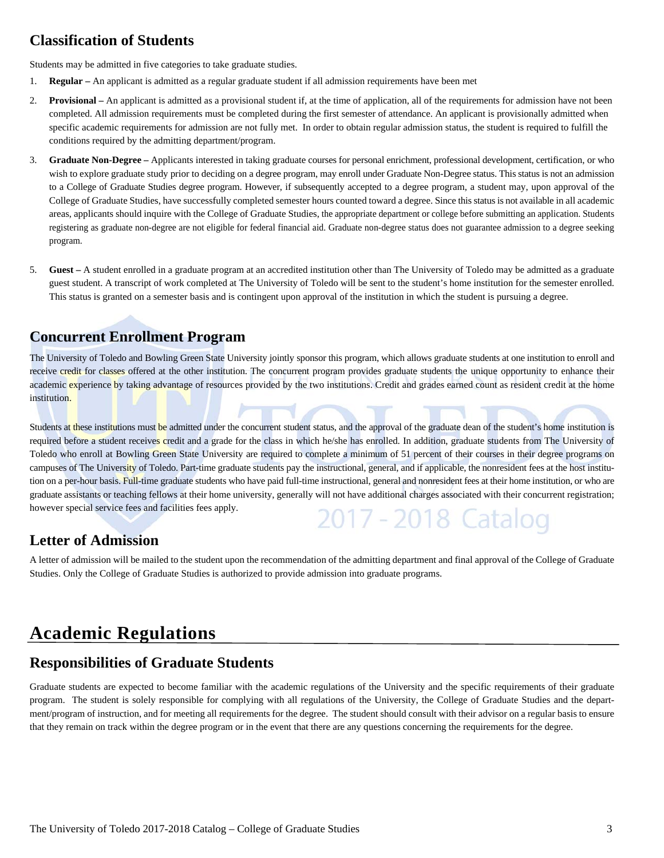#### **Classification of Students**

Students may be admitted in five categories to take graduate studies.

- 1. **Regular** An applicant is admitted as a regular graduate student if all admission requirements have been met
- 2. **Provisional** An applicant is admitted as a provisional student if, at the time of application, all of the requirements for admission have not been completed. All admission requirements must be completed during the first semester of attendance. An applicant is provisionally admitted when specific academic requirements for admission are not fully met. In order to obtain regular admission status, the student is required to fulfill the conditions required by the admitting department/program.
- 3. **Graduate Non-Degree** Applicants interested in taking graduate courses for personal enrichment, professional development, certification, or who wish to explore graduate study prior to deciding on a degree program, may enroll under Graduate Non-Degree status. This status is not an admission to a College of Graduate Studies degree program. However, if subsequently accepted to a degree program, a student may, upon approval of the College of Graduate Studies, have successfully completed semester hours counted toward a degree. Since this status is not available in all academic areas, applicants should inquire with the College of Graduate Studies, the appropriate department or college before submitting an application. Students registering as graduate non-degree are not eligible for federal financial aid. Graduate non-degree status does not guarantee admission to a degree seeking program.
- 5. **Guest** A student enrolled in a graduate program at an accredited institution other than The University of Toledo may be admitted as a graduate guest student. A transcript of work completed at The University of Toledo will be sent to the student's home institution for the semester enrolled. This status is granted on a semester basis and is contingent upon approval of the institution in which the student is pursuing a degree.

#### **Concurrent Enrollment Program**

The University of Toledo and Bowling Green State University jointly sponsor this program, which allows graduate students at one institution to enroll and receive credit for classes offered at the other institution. The concurrent program provides graduate students the unique opportunity to enhance their academic experience by taking advantage of resources provided by the two institutions. Credit and grades earned count as resident credit at the home institution.

Students at these institutions must be admitted under the concurrent student status, and the approval of the graduate dean of the student's home institution is required before a student receives credit and a grade for the class in which he/she has enrolled. In addition, graduate students from The University of Toledo who enroll at Bowling Green State University are required to complete a minimum of 51 percent of their courses in their degree programs on campuses of The University of Toledo. Part-time graduate students pay the instructional, general, and if applicable, the nonresident fees at the host institution on a per-hour basis. Full-time graduate students who have paid full-time instructional, general and nonresident fees at their home institution, or who are graduate assistants or teaching fellows at their home university, generally will not have additional charges associated with their concurrent registration; however special service fees and facilities fees apply. 2017 - 2018 Catalog

#### **Letter of Admission**

A letter of admission will be mailed to the student upon the recommendation of the admitting department and final approval of the College of Graduate Studies. Only the College of Graduate Studies is authorized to provide admission into graduate programs.

# **Academic Regulations**

#### **Responsibilities of Graduate Students**

Graduate students are expected to become familiar with the academic regulations of the University and the specific requirements of their graduate program. The student is solely responsible for complying with all regulations of the University, the College of Graduate Studies and the department/program of instruction, and for meeting all requirements for the degree. The student should consult with their advisor on a regular basis to ensure that they remain on track within the degree program or in the event that there are any questions concerning the requirements for the degree.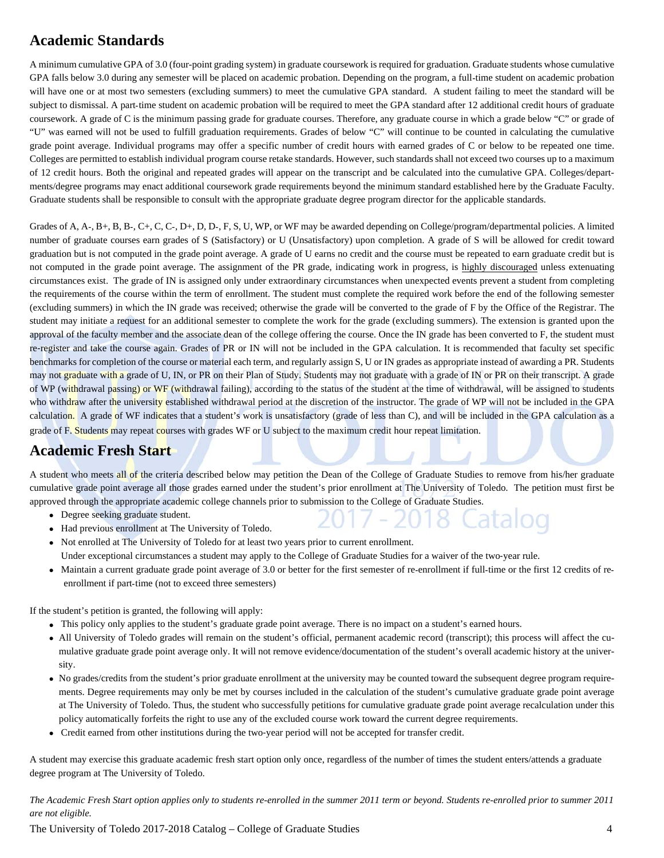## **Academic Standards**

A minimum cumulative GPA of 3.0 (four-point grading system) in graduate coursework is required for graduation. Graduate students whose cumulative GPA falls below 3.0 during any semester will be placed on academic probation. Depending on the program, a full-time student on academic probation will have one or at most two semesters (excluding summers) to meet the cumulative GPA standard. A student failing to meet the standard will be subject to dismissal. A part-time student on academic probation will be required to meet the GPA standard after 12 additional credit hours of graduate coursework. A grade of C is the minimum passing grade for graduate courses. Therefore, any graduate course in which a grade below "C" or grade of "U" was earned will not be used to fulfill graduation requirements. Grades of below "C" will continue to be counted in calculating the cumulative grade point average. Individual programs may offer a specific number of credit hours with earned grades of C or below to be repeated one time. Colleges are permitted to establish individual program course retake standards. However, such standards shall not exceed two courses up to a maximum of 12 credit hours. Both the original and repeated grades will appear on the transcript and be calculated into the cumulative GPA. Colleges/departments/degree programs may enact additional coursework grade requirements beyond the minimum standard established here by the Graduate Faculty. Graduate students shall be responsible to consult with the appropriate graduate degree program director for the applicable standards.

Grades of A, A-, B+, B, B-, C+, C, C-, D+, D, D-, F, S, U, WP, or WF may be awarded depending on College/program/departmental policies. A limited number of graduate courses earn grades of S (Satisfactory) or U (Unsatisfactory) upon completion. A grade of S will be allowed for credit toward graduation but is not computed in the grade point average. A grade of U earns no credit and the course must be repeated to earn graduate credit but is not computed in the grade point average. The assignment of the PR grade, indicating work in progress, is highly discouraged unless extenuating circumstances exist. The grade of IN is assigned only under extraordinary circumstances when unexpected events prevent a student from completing the requirements of the course within the term of enrollment. The student must complete the required work before the end of the following semester (excluding summers) in which the IN grade was received; otherwise the grade will be converted to the grade of F by the Office of the Registrar. The student may initiate a request for an additional semester to complete the work for the grade (excluding summers). The extension is granted upon the approval of the faculty member and the associate dean of the college offering the course. Once the IN grade has been converted to F, the student must re‐register and take the course again. Grades of PR or IN will not be included in the GPA calculation. It is recommended that faculty set specific benchmarks for completion of the course or material each term, and regularly assign S, U or IN grades as appropriate instead of awarding a PR. Students may not graduate with a grade of U, IN, or PR on their Plan of Study. Students may not graduate with a grade of IN or PR on their transcript. A grade of WP (withdrawal passing) or WF (withdrawal failing), according to the status of the student at the time of withdrawal, will be assigned to students who withdraw after the university established withdrawal period at the discretion of the instructor. The grade of WP will not be included in the GPA calculation. A grade of WF indicates that a student's work is unsatisfactory (grade of less than C), and will be included in the GPA calculation as a grade of F. Students may repeat courses with grades WF or U subject to the maximum credit hour repeat limitation.

#### **Academic Fresh Start**

A student who meets all of the criteria described below may petition the Dean of the College of Graduate Studies to remove from his/her graduate cumulative grade point average all those grades earned under the student's prior enrollment at The University of Toledo. The petition must first be approved through the appropriate academic college channels prior to submission to the College of Graduate Studies.

- Degree seeking graduate student.
- Had previous enrollment at The University of Toledo.
- Not enrolled at The University of Toledo for at least two years prior to current enrollment. Under exceptional circumstances a student may apply to the College of Graduate Studies for a waiver of the two-year rule.
- Maintain a current graduate grade point average of 3.0 or better for the first semester of re-enrollment if full-time or the first 12 credits of reenrollment if part-time (not to exceed three semesters)

If the student's petition is granted, the following will apply:

- This policy only applies to the student's graduate grade point average. There is no impact on a student's earned hours.
- All University of Toledo grades will remain on the student's official, permanent academic record (transcript); this process will affect the cumulative graduate grade point average only. It will not remove evidence/documentation of the student's overall academic history at the university.
- No grades/credits from the student's prior graduate enrollment at the university may be counted toward the subsequent degree program requirements. Degree requirements may only be met by courses included in the calculation of the student's cumulative graduate grade point average at The University of Toledo. Thus, the student who successfully petitions for cumulative graduate grade point average recalculation under this policy automatically forfeits the right to use any of the excluded course work toward the current degree requirements.
- Credit earned from other institutions during the two-year period will not be accepted for transfer credit.

A student may exercise this graduate academic fresh start option only once, regardless of the number of times the student enters/attends a graduate degree program at The University of Toledo.

*The Academic Fresh Start option applies only to students re-enrolled in the summer 2011 term or beyond. Students re-enrolled prior to summer 2011 are not eligible.* 

The University of Toledo 2017-2018 Catalog – College of Graduate Studies 4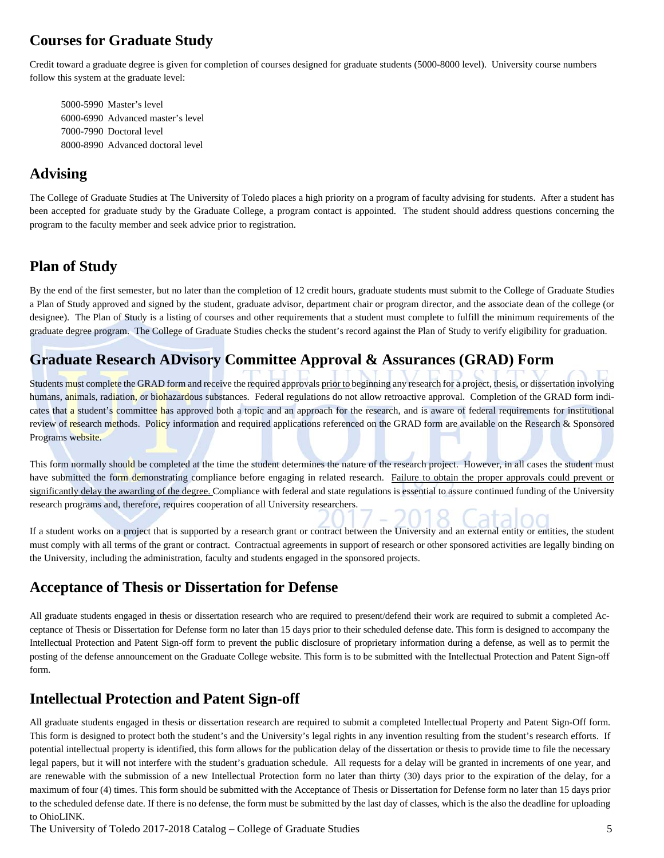### **Courses for Graduate Study**

Credit toward a graduate degree is given for completion of courses designed for graduate students (5000-8000 level). University course numbers follow this system at the graduate level:

 5000-5990 Master's level 6000-6990 Advanced master's level 7000-7990 Doctoral level 8000-8990 Advanced doctoral level

#### **Advising**

The College of Graduate Studies at The University of Toledo places a high priority on a program of faculty advising for students. After a student has been accepted for graduate study by the Graduate College, a program contact is appointed. The student should address questions concerning the program to the faculty member and seek advice prior to registration.

#### **Plan of Study**

By the end of the first semester, but no later than the completion of 12 credit hours, graduate students must submit to the College of Graduate Studies a Plan of Study approved and signed by the student, graduate advisor, department chair or program director, and the associate dean of the college (or designee). The Plan of Study is a listing of courses and other requirements that a student must complete to fulfill the minimum requirements of the graduate degree program. The College of Graduate Studies checks the student's record against the Plan of Study to verify eligibility for graduation.

#### **Graduate Research ADvisory Committee Approval & Assurances (GRAD) Form**

Students must complete the GRAD form and receive the required approvals prior to beginning any research for a project, thesis, or dissertation involving humans, animals, radiation, or biohazardous substances. Federal regulations do not allow retroactive approval. Completion of the GRAD form indicates that a student's committee has approved both a topic and an approach for the research, and is aware of federal requirements for institutional review of research methods. Policy information and required applications referenced on the GRAD form are available on the Research & Sponsored Programs website.

This form normally should be completed at the time the student determines the nature of the research project. However, in all cases the student must have submitted the form demonstrating compliance before engaging in related research. Failure to obtain the proper approvals could prevent or significantly delay the awarding of the degree. Compliance with federal and state regulations is essential to assure continued funding of the University research programs and, therefore, requires cooperation of all University researchers.

If a student works on a project that is supported by a research grant or contract between the University and an external entity or entities, the student must comply with all terms of the grant or contract. Contractual agreements in support of research or other sponsored activities are legally binding on the University, including the administration, faculty and students engaged in the sponsored projects.

#### **Acceptance of Thesis or Dissertation for Defense**

All graduate students engaged in thesis or dissertation research who are required to present/defend their work are required to submit a completed Acceptance of Thesis or Dissertation for Defense form no later than 15 days prior to their scheduled defense date. This form is designed to accompany the Intellectual Protection and Patent Sign-off form to prevent the public disclosure of proprietary information during a defense, as well as to permit the posting of the defense announcement on the Graduate College website. This form is to be submitted with the Intellectual Protection and Patent Sign-off form.

#### **Intellectual Protection and Patent Sign-off**

All graduate students engaged in thesis or dissertation research are required to submit a completed Intellectual Property and Patent Sign-Off form. This form is designed to protect both the student's and the University's legal rights in any invention resulting from the student's research efforts. If potential intellectual property is identified, this form allows for the publication delay of the dissertation or thesis to provide time to file the necessary legal papers, but it will not interfere with the student's graduation schedule. All requests for a delay will be granted in increments of one year, and are renewable with the submission of a new Intellectual Protection form no later than thirty (30) days prior to the expiration of the delay, for a maximum of four (4) times. This form should be submitted with the Acceptance of Thesis or Dissertation for Defense form no later than 15 days prior to the scheduled defense date. If there is no defense, the form must be submitted by the last day of classes, which is the also the deadline for uploading to OhioLINK.

The University of Toledo 2017-2018 Catalog – College of Graduate Studies 5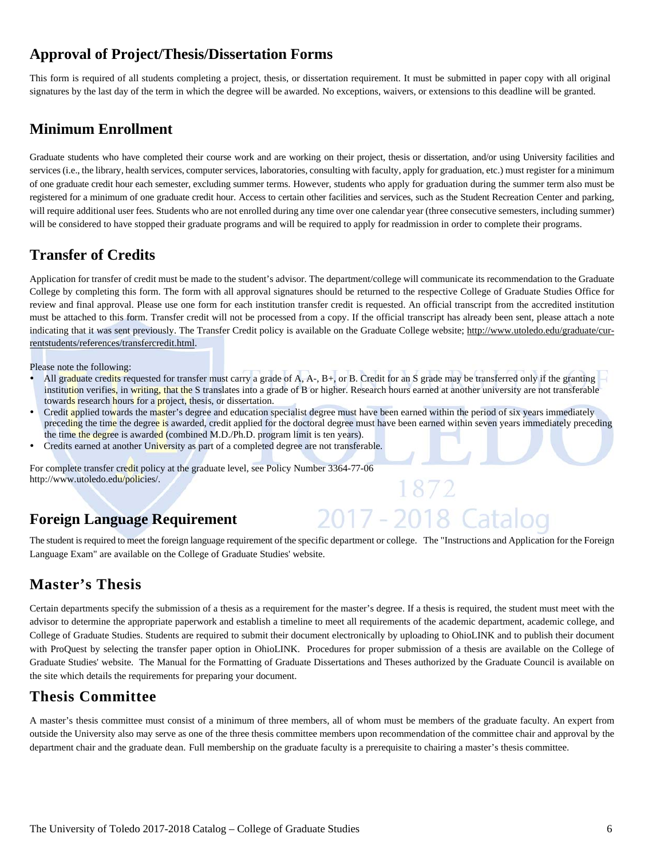#### **Approval of Project/Thesis/Dissertation Forms**

This form is required of all students completing a project, thesis, or dissertation requirement. It must be submitted in paper copy with all original signatures by the last day of the term in which the degree will be awarded. No exceptions, waivers, or extensions to this deadline will be granted.

#### **Minimum Enrollment**

Graduate students who have completed their course work and are working on their project, thesis or dissertation, and/or using University facilities and services (i.e., the library, health services, computer services, laboratories, consulting with faculty, apply for graduation, etc.) must register for a minimum of one graduate credit hour each semester, excluding summer terms. However, students who apply for graduation during the summer term also must be registered for a minimum of one graduate credit hour. Access to certain other facilities and services, such as the Student Recreation Center and parking, will require additional user fees. Students who are not enrolled during any time over one calendar year (three consecutive semesters, including summer) will be considered to have stopped their graduate programs and will be required to apply for readmission in order to complete their programs.

## **Transfer of Credits**

Application for transfer of credit must be made to the student's advisor. The department/college will communicate its recommendation to the Graduate College by completing this form. The form with all approval signatures should be returned to the respective College of Graduate Studies Office for review and final approval. Please use one form for each institution transfer credit is requested. An official transcript from the accredited institution must be attached to this form. Transfer credit will not be processed from a copy. If the official transcript has already been sent, please attach a note indicating that it was sent previously. The Transfer Credit policy is available on the Graduate College website; http://www.utoledo.edu/graduate/currentstudents/references/transfercredit.html.

Please note the following:

- All graduate credits requested for transfer must carry a grade of A, A-, B+, or B. Credit for an S grade may be transferred only if the granting  $$ institution verifies, in writing, that the S translates into a grade of B or higher. Research hours earned at another university are not transferable towards research hours for a project, thesis, or dissertation.
- Credit applied towards the master's degree and education specialist degree must have been earned within the period of six years immediately preceding the time the degree is awarded, credit applied for the doctoral degree must have been earned within seven years immediately preceding the time the degree is awarded (combined M.D./Ph.D. program limit is ten years).
- Credits earned at another University as part of a completed degree are not transferable.

For complete transfer credit policy at the graduate level, see Policy Number 3364-77-06 http://www.utoledo.edu/policies/.

## **Foreign Language Requirement**

The student is required to meet the foreign language requirement of the specific department or college. The "Instructions and Application for the Foreign Language Exam" are available on the College of Graduate Studies' website.

2017 - 2018 Cataloo

## **Master's Thesis**

Certain departments specify the submission of a thesis as a requirement for the master's degree. If a thesis is required, the student must meet with the advisor to determine the appropriate paperwork and establish a timeline to meet all requirements of the academic department, academic college, and College of Graduate Studies. Students are required to submit their document electronically by uploading to OhioLINK and to publish their document with ProQuest by selecting the transfer paper option in OhioLINK. Procedures for proper submission of a thesis are available on the College of Graduate Studies' website. The Manual for the Formatting of Graduate Dissertations and Theses authorized by the Graduate Council is available on the site which details the requirements for preparing your document.

#### **Thesis Committee**

A master's thesis committee must consist of a minimum of three members, all of whom must be members of the graduate faculty. An expert from outside the University also may serve as one of the three thesis committee members upon recommendation of the committee chair and approval by the department chair and the graduate dean. Full membership on the graduate faculty is a prerequisite to chairing a master's thesis committee.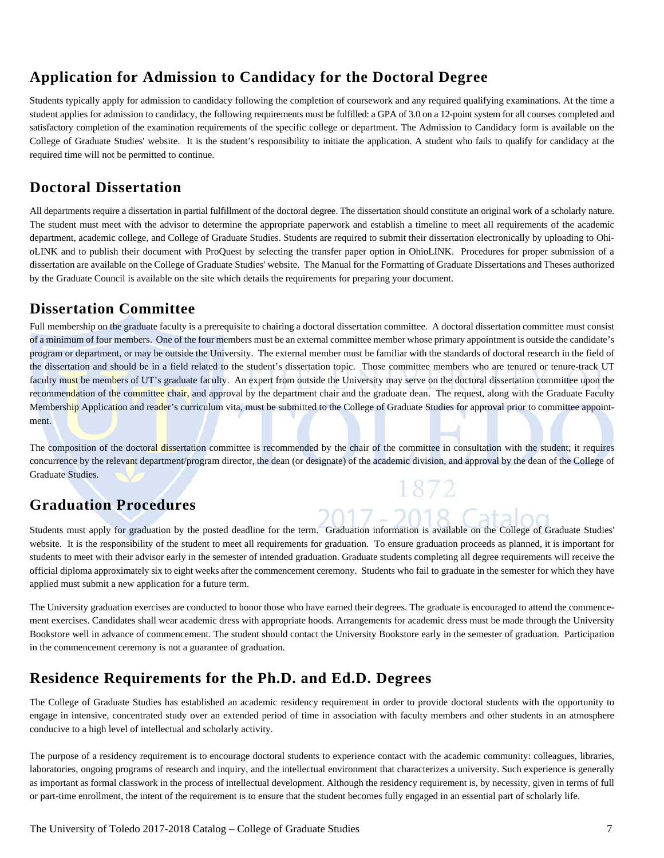### **Application for Admission to Candidacy for the Doctoral Degree**

Students typically apply for admission to candidacy following the completion of coursework and any required qualifying examinations. At the time a student applies for admission to candidacy, the following requirements must be fulfilled: a GPA of 3.0 on a 12-point system for all courses completed and satisfactory completion of the examination requirements of the specific college or department. The Admission to Candidacy form is available on the College of Graduate Studies' website. It is the student's responsibility to initiate the application. A student who fails to qualify for candidacy at the required time will not be permitted to continue.

#### **Doctoral Dissertation**

All departments require a dissertation in partial fulfillment of the doctoral degree. The dissertation should constitute an original work of a scholarly nature. The student must meet with the advisor to determine the appropriate paperwork and establish a timeline to meet all requirements of the academic department, academic college, and College of Graduate Studies. Students are required to submit their dissertation electronically by uploading to OhioLINK and to publish their document with ProQuest by selecting the transfer paper option in OhioLINK. Procedures for proper submission of a dissertation are available on the College of Graduate Studies' website. The Manual for the Formatting of Graduate Dissertations and Theses authorized by the Graduate Council is available on the site which details the requirements for preparing your document.

#### **Dissertation Committee**

Full membership on the graduate faculty is a prerequisite to chairing a doctoral dissertation committee. A doctoral dissertation committee must consist of a minimum of four members. One of the four members must be an external committee member whose primary appointment is outside the candidate's program or department, or may be outside the University. The external member must be familiar with the standards of doctoral research in the field of the dissertation and should be in a field related to the student's dissertation topic. Those committee members who are tenured or tenure-track UT faculty must be members of UT's graduate faculty. An expert from outside the University may serve on the doctoral dissertation committee upon the recommendation of the committee chair, and approval by the department chair and the graduate dean. The request, along with the Graduate Faculty Membership Application and reader's curriculum vita, must be submitted to the College of Graduate Studies for approval prior to committee appointment.

The composition of the doctoral dissertation committee is recommended by the chair of the committee in consultation with the student; it requires concurrence by the relevant department/program director, the dean (or designate) of the academic division, and approval by the dean of the College of Graduate Studies.

## **Graduation Procedures**

Students must apply for graduation by the posted deadline for the term. Graduation information is available on the College of Graduate Studies' website. It is the responsibility of the student to meet all requirements for graduation. To ensure graduation proceeds as planned, it is important for students to meet with their advisor early in the semester of intended graduation. Graduate students completing all degree requirements will receive the official diploma approximately six to eight weeks after the commencement ceremony. Students who fail to graduate in the semester for which they have applied must submit a new application for a future term.

The University graduation exercises are conducted to honor those who have earned their degrees. The graduate is encouraged to attend the commencement exercises. Candidates shall wear academic dress with appropriate hoods. Arrangements for academic dress must be made through the University Bookstore well in advance of commencement. The student should contact the University Bookstore early in the semester of graduation. Participation in the commencement ceremony is not a guarantee of graduation.

#### **Residence Requirements for the Ph.D. and Ed.D. Degrees**

The College of Graduate Studies has established an academic residency requirement in order to provide doctoral students with the opportunity to engage in intensive, concentrated study over an extended period of time in association with faculty members and other students in an atmosphere conducive to a high level of intellectual and scholarly activity.

The purpose of a residency requirement is to encourage doctoral students to experience contact with the academic community: colleagues, libraries, laboratories, ongoing programs of research and inquiry, and the intellectual environment that characterizes a university. Such experience is generally as important as formal classwork in the process of intellectual development. Although the residency requirement is, by necessity, given in terms of full or part-time enrollment, the intent of the requirement is to ensure that the student becomes fully engaged in an essential part of scholarly life.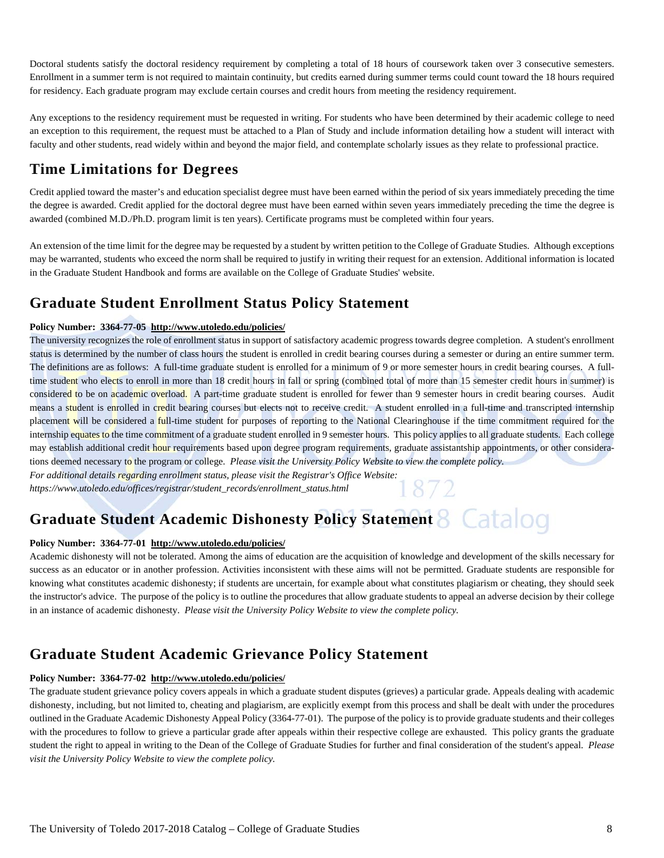Doctoral students satisfy the doctoral residency requirement by completing a total of 18 hours of coursework taken over 3 consecutive semesters. Enrollment in a summer term is not required to maintain continuity, but credits earned during summer terms could count toward the 18 hours required for residency. Each graduate program may exclude certain courses and credit hours from meeting the residency requirement.

Any exceptions to the residency requirement must be requested in writing. For students who have been determined by their academic college to need an exception to this requirement, the request must be attached to a Plan of Study and include information detailing how a student will interact with faculty and other students, read widely within and beyond the major field, and contemplate scholarly issues as they relate to professional practice.

## **Time Limitations for Degrees**

Credit applied toward the master's and education specialist degree must have been earned within the period of six years immediately preceding the time the degree is awarded. Credit applied for the doctoral degree must have been earned within seven years immediately preceding the time the degree is awarded (combined M.D./Ph.D. program limit is ten years). Certificate programs must be completed within four years.

An extension of the time limit for the degree may be requested by a student by written petition to the College of Graduate Studies. Although exceptions may be warranted, students who exceed the norm shall be required to justify in writing their request for an extension. Additional information is located in the Graduate Student Handbook and forms are available on the College of Graduate Studies' website.

## **Graduate Student Enrollment Status Policy Statement**

#### **Policy Number: 3364-77-05 http://www.utoledo.edu/policies/**

The university recognizes the role of enrollment status in support of satisfactory academic progress towards degree completion. A student's enrollment status is determined by the number of class hours the student is enrolled in credit bearing courses during a semester or during an entire summer term. The definitions are as follows: A full-time graduate student is enrolled for a minimum of 9 or more semester hours in credit bearing courses. A fulltime student who elects to enroll in more than 18 credit hours in fall or spring (combined total of more than 15 semester credit hours in summer) is considered to be on academic overload. A part-time graduate student is enrolled for fewer than 9 semester hours in credit bearing courses. Audit means a student is enrolled in credit bearing courses but elects not to receive credit. A student enrolled in a full-time and transcripted internship placement will be considered a full-time student for purposes of reporting to the National Clearinghouse if the time commitment required for the internship equates to the time commitment of a graduate student enrolled in 9 semester hours. This policy applies to all graduate students. Each college may establish additional credit hour requirements based upon degree program requirements, graduate assistantship appointments, or other considerations deemed necessary to the program or college. *Please visit the University Policy Website to view the complete policy.* 

*For additional details regarding enrollment status, please visit the Registrar's Office Website: https://www.utoledo.edu/offices/registrar/student\_records/enrollment\_status.html* 

# **Graduate Student Academic Dishonesty Policy Statement**

#### **Policy Number: 3364-77-01 http://www.utoledo.edu/policies/**

Academic dishonesty will not be tolerated. Among the aims of education are the acquisition of knowledge and development of the skills necessary for success as an educator or in another profession. Activities inconsistent with these aims will not be permitted. Graduate students are responsible for knowing what constitutes academic dishonesty; if students are uncertain, for example about what constitutes plagiarism or cheating, they should seek the instructor's advice. The purpose of the policy is to outline the procedures that allow graduate students to appeal an adverse decision by their college in an instance of academic dishonesty. *Please visit the University Policy Website to view the complete policy.* 

#### **Graduate Student Academic Grievance Policy Statement**

#### **Policy Number: 3364-77-02 http://www.utoledo.edu/policies/**

The graduate student grievance policy covers appeals in which a graduate student disputes (grieves) a particular grade. Appeals dealing with academic dishonesty, including, but not limited to, cheating and plagiarism, are explicitly exempt from this process and shall be dealt with under the procedures outlined in the Graduate Academic Dishonesty Appeal Policy (3364-77-01). The purpose of the policy is to provide graduate students and their colleges with the procedures to follow to grieve a particular grade after appeals within their respective college are exhausted. This policy grants the graduate student the right to appeal in writing to the Dean of the College of Graduate Studies for further and final consideration of the student's appeal. *Please visit the University Policy Website to view the complete policy.*